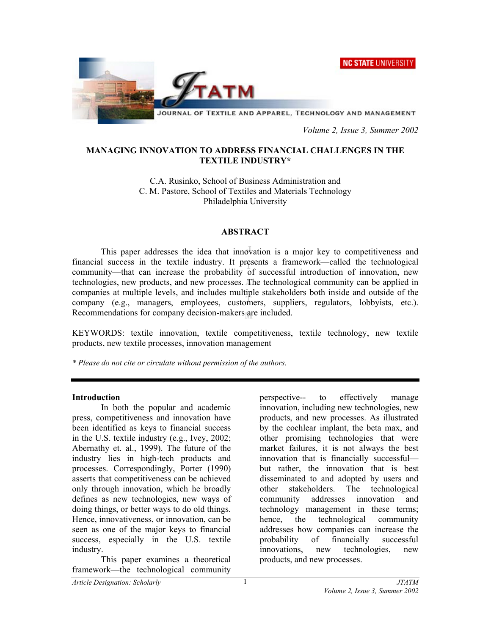NC STATE UNIVERSITY



 *Volume 2, Issue 3, Summer 2002* 

## **MANAGING INNOVATION TO ADDRESS FINANCIAL CHALLENGES IN THE TEXTILE INDUSTRY\***

C.A. Rusinko, School of Business Administration and C. M. Pastore, School of Textiles and Materials Technology Philadelphia University

### **ABSTRACT**

This paper addresses the idea that innovation is a major key to competitiveness and financial success in the textile industry. It presents a framework—called the technological community—that can increase the probability of successful introduction of innovation, new technologies, new products, and new processes. The technological community can be applied in companies at multiple levels, and includes multiple stakeholders both inside and outside of the company (e.g., managers, employees, customers, suppliers, regulators, lobbyists, etc.). Recommendations for company decision-makers are included.

KEYWORDS: textile innovation, textile competitiveness, textile technology, new textile products, new textile processes, innovation management

*\* Please do not cite or circulate without permission of the authors.* 

### **Introduction**

 In both the popular and academic press, competitiveness and innovation have been identified as keys to financial success in the U.S. textile industry (e.g., Ivey, 2002; Abernathy et. al., 1999). The future of the industry lies in high-tech products and processes. Correspondingly, Porter (1990) asserts that competitiveness can be achieved only through innovation, which he broadly defines as new technologies, new ways of doing things, or better ways to do old things. Hence, innovativeness, or innovation, can be seen as one of the major keys to financial success, especially in the U.S. textile industry.

 This paper examines a theoretical framework—the technological community

perspective-- to effectively manage innovation, including new technologies, new products, and new processes. As illustrated by the cochlear implant, the beta max, and other promising technologies that were market failures, it is not always the best innovation that is financially successful but rather, the innovation that is best disseminated to and adopted by users and other stakeholders. The technological community addresses innovation and technology management in these terms; hence, the technological community addresses how companies can increase the probability of financially successful innovations, new technologies, new products, and new processes.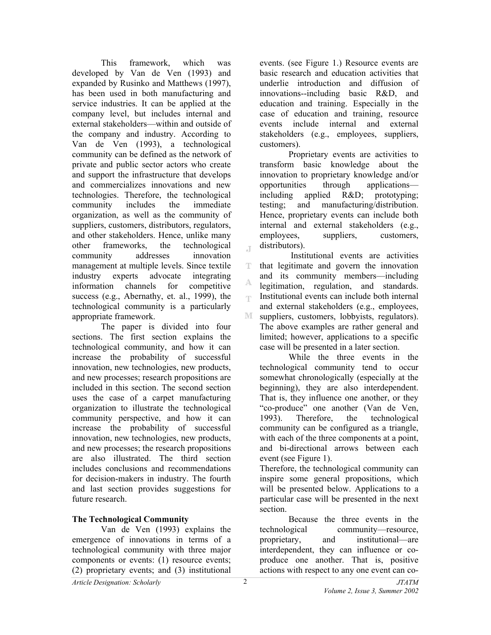This framework, which was developed by Van de Ven (1993) and expanded by Rusinko and Matthews (1997), has been used in both manufacturing and service industries. It can be applied at the company level, but includes internal and external stakeholders—within and outside of the company and industry. According to Van de Ven (1993), a technological community can be defined as the network of private and public sector actors who create and support the infrastructure that develops and commercializes innovations and new technologies. Therefore, the technological community includes the immediate organization, as well as the community of suppliers, customers, distributors, regulators, and other stakeholders. Hence, unlike many other frameworks, the technological community addresses innovation management at multiple levels. Since textile industry experts advocate integrating information channels for competitive success (e.g., Abernathy, et. al., 1999), the technological community is a particularly appropriate framework.

 The paper is divided into four sections. The first section explains the technological community, and how it can increase the probability of successful innovation, new technologies, new products, and new processes; research propositions are included in this section. The second section uses the case of a carpet manufacturing organization to illustrate the technological community perspective, and how it can increase the probability of successful innovation, new technologies, new products, and new processes; the research propositions are also illustrated. The third section includes conclusions and recommendations for decision-makers in industry. The fourth and last section provides suggestions for future research.

## **The Technological Community**

Van de Ven (1993) explains the emergence of innovations in terms of a technological community with three major components or events: (1) resource events; (2) proprietary events; and (3) institutional

events. (see Figure 1.) Resource events are basic research and education activities that underlie introduction and diffusion of innovations--including basic R&D, and education and training. Especially in the case of education and training, resource events include internal and external stakeholders (e.g., employees, suppliers, customers).

Proprietary events are activities to transform basic knowledge about the innovation to proprietary knowledge and/or opportunities through applications including applied R&D; prototyping; testing; and manufacturing/distribution. Hence, proprietary events can include both internal and external stakeholders (e.g., employees, suppliers, customers, distributors).

 $\mathbb T$  Institutional events are activities that legitimate and govern the innovation T. and its community members—including legitimation, regulation, and standards. Institutional events can include both internal Ŧ and external stakeholders (e.g., employees, M. suppliers, customers, lobbyists, regulators). The above examples are rather general and limited; however, applications to a specific case will be presented in a later section.

While the three events in the technological community tend to occur somewhat chronologically (especially at the beginning), they are also interdependent. That is, they influence one another, or they "co-produce" one another (Van de Ven, 1993). Therefore, the technological community can be configured as a triangle, with each of the three components at a point, and bi-directional arrows between each event (see Figure 1).

Therefore, the technological community can inspire some general propositions, which will be presented below. Applications to a particular case will be presented in the next section.

Because the three events in the technological community—resource, proprietary, and institutional—are interdependent, they can influence or coproduce one another. That is, positive actions with respect to any one event can co-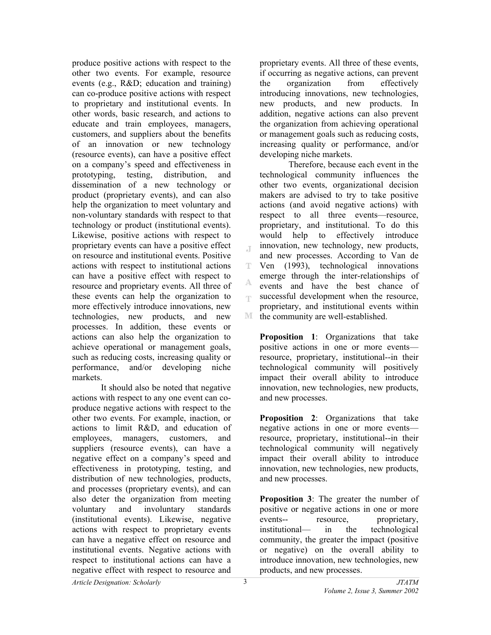produce positive actions with respect to the other two events. For example, resource events (e.g., R&D; education and training) can co-produce positive actions with respect to proprietary and institutional events. In other words, basic research, and actions to educate and train employees, managers, customers, and suppliers about the benefits of an innovation or new technology (resource events), can have a positive effect on a company's speed and effectiveness in prototyping, testing, distribution, and dissemination of a new technology or product (proprietary events), and can also help the organization to meet voluntary and non-voluntary standards with respect to that technology or product (institutional events). Likewise, positive actions with respect to proprietary events can have a positive effect on resource and institutional events. Positive actions with respect to institutional actions can have a positive effect with respect to resource and proprietary events. All three of these events can help the organization to more effectively introduce innovations, new technologies, new products, and new processes. In addition, these events or actions can also help the organization to achieve operational or management goals, such as reducing costs, increasing quality or performance, and/or developing niche markets.

It should also be noted that negative actions with respect to any one event can coproduce negative actions with respect to the other two events. For example, inaction, or actions to limit R&D, and education of employees, managers, customers, and suppliers (resource events), can have a negative effect on a company's speed and effectiveness in prototyping, testing, and distribution of new technologies, products, and processes (proprietary events), and can also deter the organization from meeting voluntary and involuntary standards (institutional events). Likewise, negative actions with respect to proprietary events can have a negative effect on resource and institutional events. Negative actions with respect to institutional actions can have a negative effect with respect to resource and

proprietary events. All three of these events, if occurring as negative actions, can prevent the organization from effectively introducing innovations, new technologies, new products, and new products. In addition, negative actions can also prevent the organization from achieving operational or management goals such as reducing costs, increasing quality or performance, and/or developing niche markets.

Therefore, because each event in the technological community influences the other two events, organizational decision makers are advised to try to take positive actions (and avoid negative actions) with respect to all three events—resource, proprietary, and institutional. To do this would help to effectively introduce innovation, new technology, new products, and new processes. According to Van de T Ven (1993), technological innovations emerge through the inter-relationships of events and have the best chance of successful development when the resource, proprietary, and institutional events within  $\mathbb{M}$ the community are well-established.

**Proposition 1**: Organizations that take positive actions in one or more events resource, proprietary, institutional--in their technological community will positively impact their overall ability to introduce innovation, new technologies, new products, and new processes.

**Proposition 2**: Organizations that take negative actions in one or more events resource, proprietary, institutional--in their technological community will negatively impact their overall ability to introduce innovation, new technologies, new products, and new processes.

**Proposition 3**: The greater the number of positive or negative actions in one or more events-- resource, proprietary, institutional— in the technological community, the greater the impact (positive or negative) on the overall ability to introduce innovation, new technologies, new products, and new processes.

 $\mathbb{T}$ 

A np.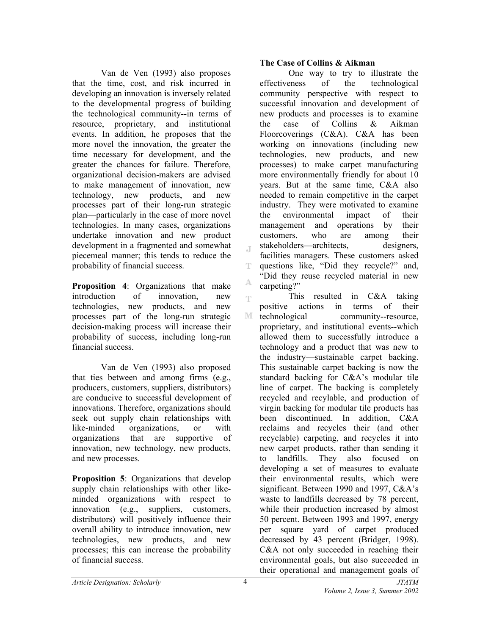Van de Ven (1993) also proposes that the time, cost, and risk incurred in developing an innovation is inversely related to the developmental progress of building the technological community--in terms of resource, proprietary, and institutional events. In addition, he proposes that the more novel the innovation, the greater the time necessary for development, and the greater the chances for failure. Therefore, organizational decision-makers are advised to make management of innovation, new technology, new products, and new processes part of their long-run strategic plan—particularly in the case of more novel technologies. In many cases, organizations undertake innovation and new product development in a fragmented and somewhat piecemeal manner; this tends to reduce the probability of financial success.

**Proposition 4**: Organizations that make introduction of innovation, new technologies, new products, and new processes part of the long-run strategic decision-making process will increase their probability of success, including long-run financial success.

Van de Ven (1993) also proposed that ties between and among firms (e.g., producers, customers, suppliers, distributors) are conducive to successful development of innovations. Therefore, organizations should seek out supply chain relationships with like-minded organizations, or with organizations that are supportive of innovation, new technology, new products, and new processes.

**Proposition 5**: Organizations that develop supply chain relationships with other likeminded organizations with respect to innovation (e.g., suppliers, customers, distributors) will positively influence their overall ability to introduce innovation, new technologies, new products, and new processes; this can increase the probability of financial success.

### **The Case of Collins & Aikman**

 One way to try to illustrate the effectiveness of the technological community perspective with respect to successful innovation and development of new products and processes is to examine the case of Collins & Aikman Floorcoverings (C&A). C&A has been working on innovations (including new technologies, new products, and new processes) to make carpet manufacturing more environmentally friendly for about 10 years. But at the same time, C&A also needed to remain competitive in the carpet industry. They were motivated to examine the environmental impact of their management and operations by their customers, who are among their stakeholders—architects, designers, facilities managers. These customers asked questions like, "Did they recycle?" and, "Did they reuse recycled material in new carpeting?"

This resulted in C&A taking m. positive actions in terms of their M technological community--resource, proprietary, and institutional events--which allowed them to successfully introduce a technology and a product that was new to the industry—sustainable carpet backing. This sustainable carpet backing is now the standard backing for C&A's modular tile line of carpet. The backing is completely recycled and recylable, and production of virgin backing for modular tile products has been discontinued. In addition, C&A reclaims and recycles their (and other recyclable) carpeting, and recycles it into new carpet products, rather than sending it to landfills. They also focused on developing a set of measures to evaluate their environmental results, which were significant. Between 1990 and 1997, C&A's waste to landfills decreased by 78 percent, while their production increased by almost 50 percent. Between 1993 and 1997, energy per square yard of carpet produced decreased by 43 percent (Bridger, 1998). C&A not only succeeded in reaching their environmental goals, but also succeeded in their operational and management goals of

 $\mathbb T$ 

T

A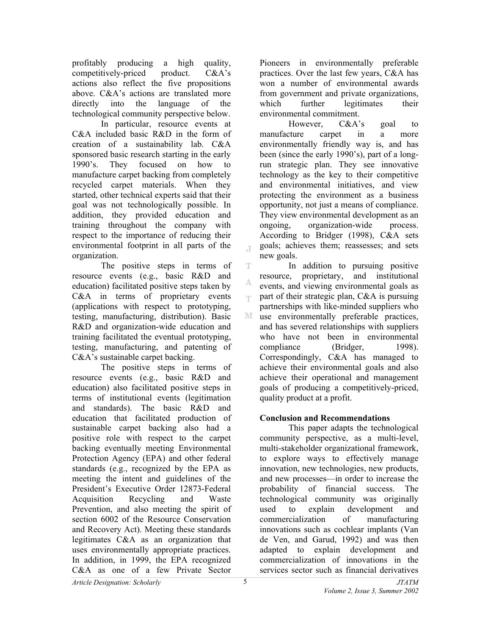profitably producing a high quality, competitively-priced product. C&A's actions also reflect the five propositions above. C&A's actions are translated more directly into the language of the technological community perspective below.

In particular, resource events at C&A included basic R&D in the form of creation of a sustainability lab. C&A sponsored basic research starting in the early 1990's. They focused on how to manufacture carpet backing from completely recycled carpet materials. When they started, other technical experts said that their goal was not technologically possible. In addition, they provided education and training throughout the company with respect to the importance of reducing their environmental footprint in all parts of the organization.

The positive steps in terms of resource events (e.g., basic R&D and education) facilitated positive steps taken by C&A in terms of proprietary events (applications with respect to prototyping, testing, manufacturing, distribution). Basic R&D and organization-wide education and training facilitated the eventual prototyping, testing, manufacturing, and patenting of C&A's sustainable carpet backing.

The positive steps in terms of resource events (e.g., basic R&D and education) also facilitated positive steps in terms of institutional events (legitimation and standards). The basic R&D and education that facilitated production of sustainable carpet backing also had a positive role with respect to the carpet backing eventually meeting Environmental Protection Agency (EPA) and other federal standards (e.g., recognized by the EPA as meeting the intent and guidelines of the President's Executive Order 12873-Federal Acquisition Recycling and Waste Prevention, and also meeting the spirit of section 6002 of the Resource Conservation and Recovery Act). Meeting these standards legitimates C&A as an organization that uses environmentally appropriate practices. In addition, in 1999, the EPA recognized C&A as one of a few Private Sector

Pioneers in environmentally preferable practices. Over the last few years, C&A has won a number of environmental awards from government and private organizations, which further legitimates their environmental commitment.

However, C&A's goal to manufacture carpet in a more environmentally friendly way is, and has been (since the early 1990's), part of a longrun strategic plan. They see innovative technology as the key to their competitive and environmental initiatives, and view protecting the environment as a business opportunity, not just a means of compliance. They view environmental development as an ongoing, organization-wide process. According to Bridger (1998), C&A sets goals; achieves them; reassesses; and sets new goals.

In addition to pursuing positive resource, proprietary, and institutional events, and viewing environmental goals as part of their strategic plan, C&A is pursuing partnerships with like-minded suppliers who M. use environmentally preferable practices, and has severed relationships with suppliers who have not been in environmental compliance (Bridger, 1998). Correspondingly, C&A has managed to achieve their environmental goals and also achieve their operational and management goals of producing a competitively-priced, quality product at a profit.

# **Conclusion and Recommendations**

 This paper adapts the technological community perspective, as a multi-level, multi-stakeholder organizational framework, to explore ways to effectively manage innovation, new technologies, new products, and new processes—in order to increase the probability of financial success. The technological community was originally used to explain development and commercialization of manufacturing innovations such as cochlear implants (Van de Ven, and Garud, 1992) and was then adapted to explain development and commercialization of innovations in the services sector such as financial derivatives

 $\mathcal{A}$ 

T

A egs.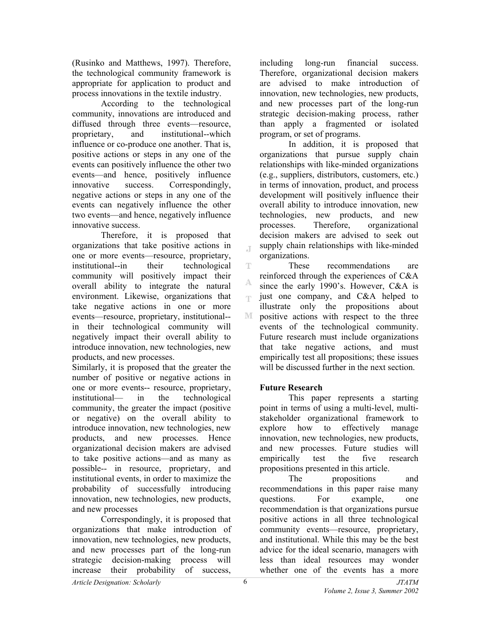(Rusinko and Matthews, 1997). Therefore, the technological community framework is appropriate for application to product and process innovations in the textile industry.

According to the technological community, innovations are introduced and diffused through three events—resource, proprietary, and institutional--which influence or co-produce one another. That is, positive actions or steps in any one of the events can positively influence the other two events—and hence, positively influence innovative success. Correspondingly, negative actions or steps in any one of the events can negatively influence the other two events—and hence, negatively influence innovative success.

Therefore, it is proposed that organizations that take positive actions in one or more events—resource, proprietary, institutional--in their technological community will positively impact their overall ability to integrate the natural environment. Likewise, organizations that take negative actions in one or more events—resource, proprietary, institutional- in their technological community will negatively impact their overall ability to introduce innovation, new technologies, new products, and new processes.

Similarly, it is proposed that the greater the number of positive or negative actions in one or more events-- resource, proprietary, institutional— in the technological community, the greater the impact (positive or negative) on the overall ability to introduce innovation, new technologies, new products, and new processes. Hence organizational decision makers are advised to take positive actions—and as many as possible-- in resource, proprietary, and institutional events, in order to maximize the probability of successfully introducing innovation, new technologies, new products, and new processes

Correspondingly, it is proposed that organizations that make introduction of innovation, new technologies, new products, and new processes part of the long-run strategic decision-making process will increase their probability of success,

including long-run financial success. Therefore, organizational decision makers are advised to make introduction of innovation, new technologies, new products, and new processes part of the long-run strategic decision-making process, rather than apply a fragmented or isolated program, or set of programs.

 In addition, it is proposed that organizations that pursue supply chain relationships with like-minded organizations (e.g., suppliers, distributors, customers, etc.) in terms of innovation, product, and process development will positively influence their overall ability to introduce innovation, new technologies, new products, and new processes. Therefore, organizational decision makers are advised to seek out supply chain relationships with like-minded organizations.

T These recommendations are reinforced through the experiences of C&A since the early 1990's. However, C&A is just one company, and C&A helped to m illustrate only the propositions about M. positive actions with respect to the three events of the technological community. Future research must include organizations that take negative actions, and must empirically test all propositions; these issues will be discussed further in the next section.

## **Future Research**

This paper represents a starting point in terms of using a multi-level, multistakeholder organizational framework to explore how to effectively manage innovation, new technologies, new products, and new processes. Future studies will empirically test the five research propositions presented in this article.

The propositions and recommendations in this paper raise many questions. For example, one recommendation is that organizations pursue positive actions in all three technological community events—resource, proprietary, and institutional. While this may be the best advice for the ideal scenario, managers with less than ideal resources may wonder whether one of the events has a more

 $\mathcal{A}$ 

A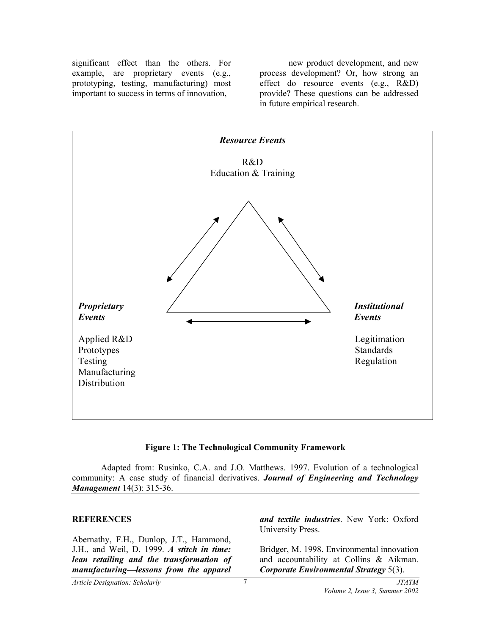significant effect than the others. For example, are proprietary events (e.g., prototyping, testing, manufacturing) most important to success in terms of innovation,

new product development, and new process development? Or, how strong an effect do resource events (e.g., R&D) provide? These questions can be addressed in future empirical research.



### **Figure 1: The Technological Community Framework**

Adapted from: Rusinko, C.A. and J.O. Matthews. 1997. Evolution of a technological community: A case study of financial derivatives. *Journal of Engineering and Technology Management* 14(3): 315-36.

#### **REFERENCES**

Abernathy, F.H., Dunlop, J.T., Hammond, J.H., and Weil, D. 1999. *A stitch in time: lean retailing and the transformation of manufacturing—lessons from the apparel* 

*and textile industries*. New York: Oxford University Press.

Bridger, M. 1998. Environmental innovation and accountability at Collins & Aikman. *Corporate Environmental Strategy* 5(3).